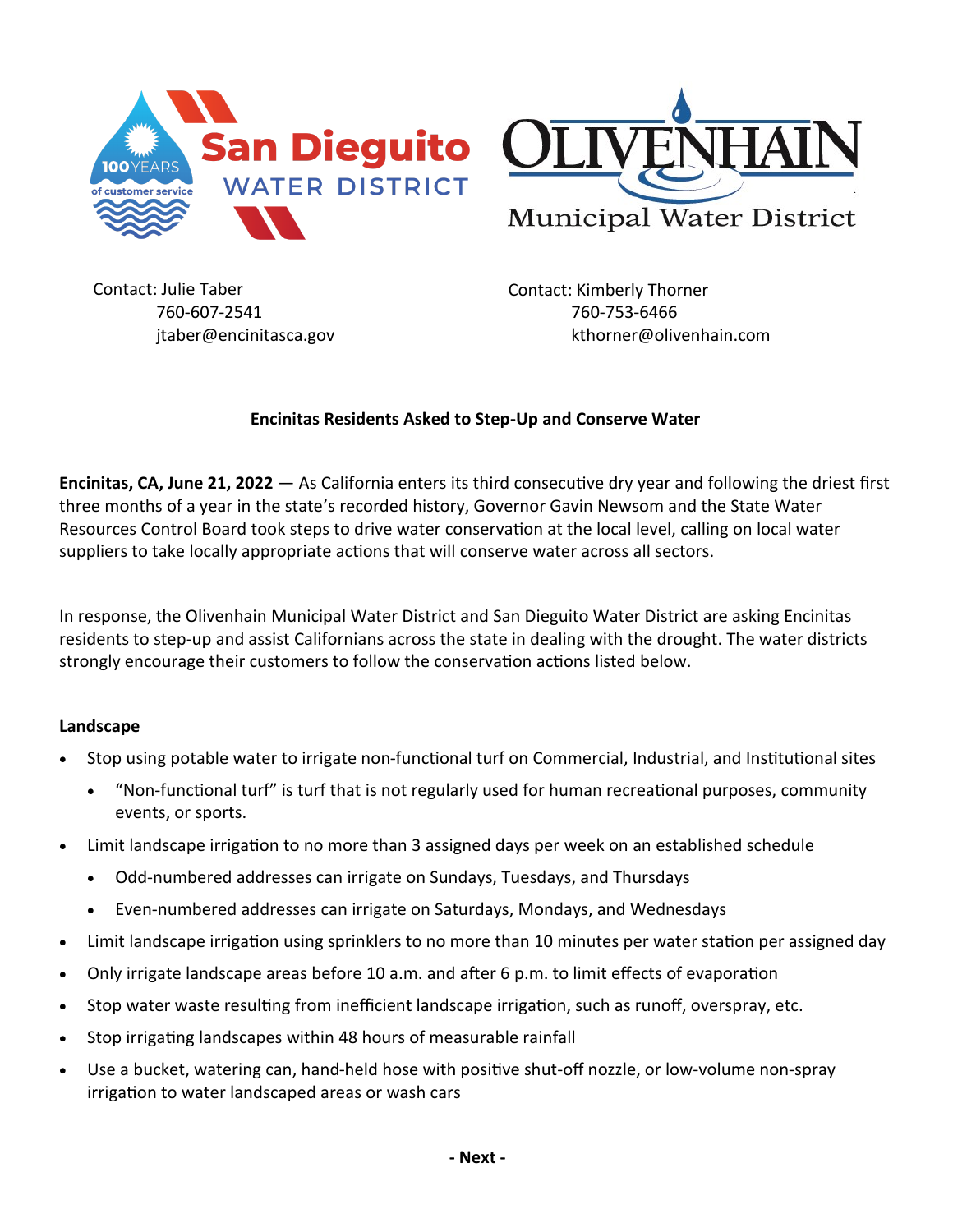

Contact: Julie Taber 760-607-2541 jtaber@encinitasca.gov

Contact: Kimberly Thorner 760-753-6466 kthorner@olivenhain.com

## **Encinitas Residents Asked to Step-Up and Conserve Water**

**Encinitas, CA, June 21, 2022** — As California enters its third consecutive dry year and following the driest first three months of a year in the state's recorded history, Governor Gavin Newsom and the State Water Resources Control Board took steps to drive water conservation at the local level, calling on local water suppliers to take locally appropriate actions that will conserve water across all sectors.

In response, the Olivenhain Municipal Water District and San Dieguito Water District are asking Encinitas residents to step-up and assist Californians across the state in dealing with the drought. The water districts strongly encourage their customers to follow the conservation actions listed below.

## **Landscape**

- Stop using potable water to irrigate non-functional turf on Commercial, Industrial, and Institutional sites
	- "Non-functional turf" is turf that is not regularly used for human recreational purposes, community events, or sports.
- Limit landscape irrigation to no more than 3 assigned days per week on an established schedule
	- Odd-numbered addresses can irrigate on Sundays, Tuesdays, and Thursdays
	- Even-numbered addresses can irrigate on Saturdays, Mondays, and Wednesdays
- Limit landscape irrigation using sprinklers to no more than 10 minutes per water station per assigned day
- Only irrigate landscape areas before 10 a.m. and after 6 p.m. to limit effects of evaporation
- Stop water waste resulting from inefficient landscape irrigation, such as runoff, overspray, etc.
- Stop irrigating landscapes within 48 hours of measurable rainfall
- Use a bucket, watering can, hand-held hose with positive shut-off nozzle, or low-volume non-spray irrigation to water landscaped areas or wash cars